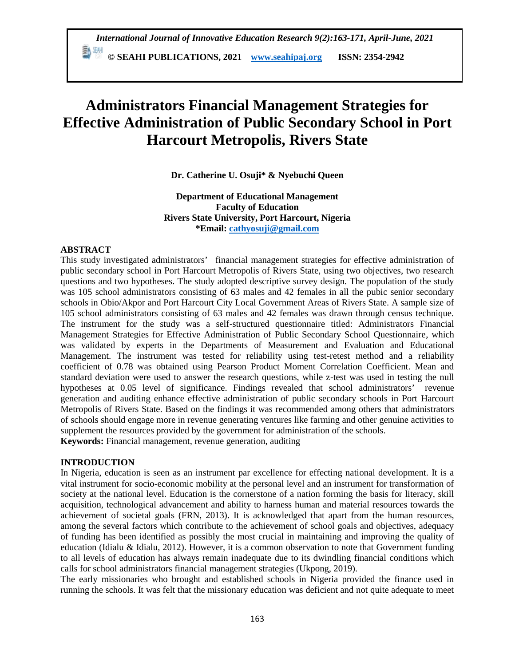*International Journal of Innovative Education Research 9(2):163-171, April-June, 2021*

 **© SEAHI PUBLICATIONS, 2021 [www.seahipaj.org](http://www.seahipaj.org/) ISSN: 2354-2942**

# **Administrators Financial Management Strategies for Effective Administration of Public Secondary School in Port Harcourt Metropolis, Rivers State**

**Dr. Catherine U. Osuji\* & Nyebuchi Queen**

**Department of Educational Management Faculty of Education Rivers State University, Port Harcourt, Nigeria \*Email: [cathyosuji@gmail.com](mailto:cathyosuji@gmail.com)**

# **ABSTRACT**

This study investigated administrators' financial management strategies for effective administration of public secondary school in Port Harcourt Metropolis of Rivers State, using two objectives, two research questions and two hypotheses. The study adopted descriptive survey design. The population of the study was 105 school administrators consisting of 63 males and 42 females in all the pubic senior secondary schools in Obio/Akpor and Port Harcourt City Local Government Areas of Rivers State. A sample size of 105 school administrators consisting of 63 males and 42 females was drawn through census technique. The instrument for the study was a self-structured questionnaire titled: Administrators Financial Management Strategies for Effective Administration of Public Secondary School Questionnaire, which was validated by experts in the Departments of Measurement and Evaluation and Educational Management. The instrument was tested for reliability using test-retest method and a reliability coefficient of 0.78 was obtained using Pearson Product Moment Correlation Coefficient. Mean and standard deviation were used to answer the research questions, while z-test was used in testing the null hypotheses at 0.05 level of significance. Findings revealed that school administrators' revenue generation and auditing enhance effective administration of public secondary schools in Port Harcourt Metropolis of Rivers State. Based on the findings it was recommended among others that administrators of schools should engage more in revenue generating ventures like farming and other genuine activities to supplement the resources provided by the government for administration of the schools. **Keywords:** Financial management, revenue generation, auditing

# **INTRODUCTION**

In Nigeria, education is seen as an instrument par excellence for effecting national development. It is a vital instrument for socio-economic mobility at the personal level and an instrument for transformation of society at the national level. Education is the cornerstone of a nation forming the basis for literacy, skill acquisition, technological advancement and ability to harness human and material resources towards the achievement of societal goals (FRN, 2013). It is acknowledged that apart from the human resources, among the several factors which contribute to the achievement of school goals and objectives, adequacy of funding has been identified as possibly the most crucial in maintaining and improving the quality of education (Idialu & Idialu, 2012). However, it is a common observation to note that Government funding to all levels of education has always remain inadequate due to its dwindling financial conditions which calls for school administrators financial management strategies (Ukpong, 2019).

The early missionaries who brought and established schools in Nigeria provided the finance used in running the schools. It was felt that the missionary education was deficient and not quite adequate to meet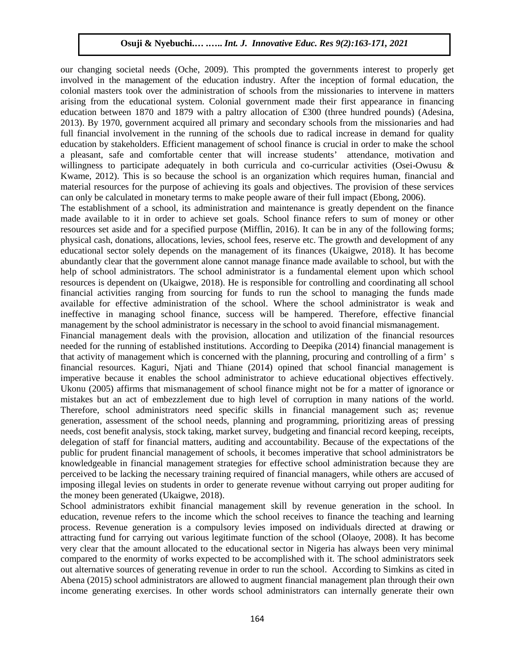our changing societal needs (Oche, 2009). This prompted the governments interest to properly get involved in the management of the education industry. After the inception of formal education, the colonial masters took over the administration of schools from the missionaries to intervene in matters arising from the educational system. Colonial government made their first appearance in financing education between 1870 and 1879 with a paltry allocation of £300 (three hundred pounds) (Adesina, 2013). By 1970, government acquired all primary and secondary schools from the missionaries and had full financial involvement in the running of the schools due to radical increase in demand for quality education by stakeholders. Efficient management of school finance is crucial in order to make the school a pleasant, safe and comfortable center that will increase students' attendance, motivation and willingness to participate adequately in both curricula and co-curricular activities (Osei-Owusu & Kwame, 2012). This is so because the school is an organization which requires human, financial and material resources for the purpose of achieving its goals and objectives. The provision of these services can only be calculated in monetary terms to make people aware of their full impact (Ebong, 2006).

The establishment of a school, its administration and maintenance is greatly dependent on the finance made available to it in order to achieve set goals. School finance refers to sum of money or other resources set aside and for a specified purpose (Mifflin, 2016). It can be in any of the following forms; physical cash, donations, allocations, levies, school fees, reserve etc. The growth and development of any educational sector solely depends on the management of its finances (Ukaigwe, 2018). It has become abundantly clear that the government alone cannot manage finance made available to school, but with the help of school administrators. The school administrator is a fundamental element upon which school resources is dependent on (Ukaigwe, 2018). He is responsible for controlling and coordinating all school financial activities ranging from sourcing for funds to run the school to managing the funds made available for effective administration of the school. Where the school administrator is weak and ineffective in managing school finance, success will be hampered. Therefore, effective financial management by the school administrator is necessary in the school to avoid financial mismanagement.

Financial management deals with the provision, allocation and utilization of the financial resources needed for the running of established institutions. According to Deepika (2014) financial management is that activity of management which is concerned with the planning, procuring and controlling of a firm' s financial resources. Kaguri, Njati and Thiane (2014) opined that school financial management is imperative because it enables the school administrator to achieve educational objectives effectively. Ukonu (2005) affirms that mismanagement of school finance might not be for a matter of ignorance or mistakes but an act of embezzlement due to high level of corruption in many nations of the world. Therefore, school administrators need specific skills in financial management such as; revenue generation, assessment of the school needs, planning and programming, prioritizing areas of pressing needs, cost benefit analysis, stock taking, market survey, budgeting and financial record keeping, receipts, delegation of staff for financial matters, auditing and accountability. Because of the expectations of the public for prudent financial management of schools, it becomes imperative that school administrators be knowledgeable in financial management strategies for effective school administration because they are perceived to be lacking the necessary training required of financial managers, while others are accused of imposing illegal levies on students in order to generate revenue without carrying out proper auditing for the money been generated (Ukaigwe, 2018).

School administrators exhibit financial management skill by revenue generation in the school. In education, revenue refers to the income which the school receives to finance the teaching and learning process. Revenue generation is a compulsory levies imposed on individuals directed at drawing or attracting fund for carrying out various legitimate function of the school (Olaoye, 2008). It has become very clear that the amount allocated to the educational sector in Nigeria has always been very minimal compared to the enormity of works expected to be accomplished with it. The school administrators seek out alternative sources of generating revenue in order to run the school. According to Simkins as cited in Abena (2015) school administrators are allowed to augment financial management plan through their own income generating exercises. In other words school administrators can internally generate their own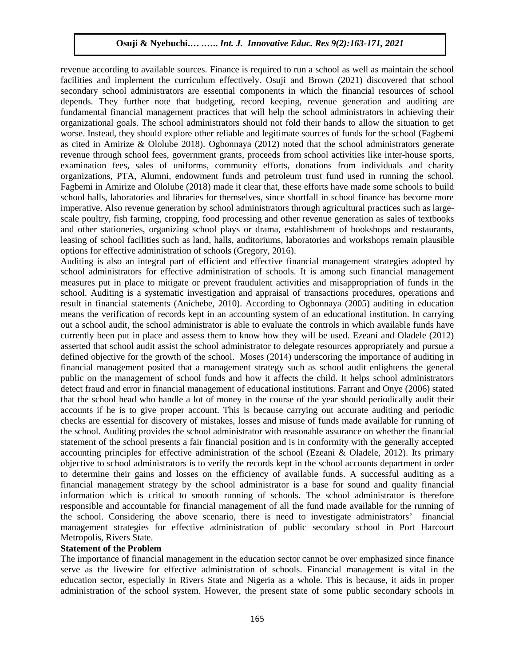revenue according to available sources. Finance is required to run a school as well as maintain the school facilities and implement the curriculum effectively. Osuji and Brown (2021) discovered that school secondary school administrators are essential components in which the financial resources of school depends. They further note that budgeting, record keeping, revenue generation and auditing are fundamental financial management practices that will help the school administrators in achieving their organizational goals. The school administrators should not fold their hands to allow the situation to get worse. Instead, they should explore other reliable and legitimate sources of funds for the school (Fagbemi as cited in Amirize & Ololube 2018). Ogbonnaya (2012) noted that the school administrators generate revenue through school fees, government grants, proceeds from school activities like inter-house sports, examination fees, sales of uniforms, community efforts, donations from individuals and charity organizations, PTA, Alumni, endowment funds and petroleum trust fund used in running the school. Fagbemi in Amirize and Ololube (2018) made it clear that, these efforts have made some schools to build school halls, laboratories and libraries for themselves, since shortfall in school finance has become more imperative. Also revenue generation by school administrators through agricultural practices such as largescale poultry, fish farming, cropping, food processing and other revenue generation as sales of textbooks and other stationeries, organizing school plays or drama, establishment of bookshops and restaurants, leasing of school facilities such as land, halls, auditoriums, laboratories and workshops remain plausible options for effective administration of schools (Gregory, 2016).

Auditing is also an integral part of efficient and effective financial management strategies adopted by school administrators for effective administration of schools. It is among such financial management measures put in place to mitigate or prevent fraudulent activities and misappropriation of funds in the school. Auditing is a systematic investigation and appraisal of transactions procedures, operations and result in financial statements (Anichebe, 2010). According to Ogbonnaya (2005) auditing in education means the verification of records kept in an accounting system of an educational institution. In carrying out a school audit, the school administrator is able to evaluate the controls in which available funds have currently been put in place and assess them to know how they will be used. Ezeani and Oladele (2012) asserted that school audit assist the school administrator to delegate resources appropriately and pursue a defined objective for the growth of the school. Moses (2014) underscoring the importance of auditing in financial management posited that a management strategy such as school audit enlightens the general public on the management of school funds and how it affects the child. It helps school administrators detect fraud and error in financial management of educational institutions. Farrant and Onye (2006) stated that the school head who handle a lot of money in the course of the year should periodically audit their accounts if he is to give proper account. This is because carrying out accurate auditing and periodic checks are essential for discovery of mistakes, losses and misuse of funds made available for running of the school. Auditing provides the school administrator with reasonable assurance on whether the financial statement of the school presents a fair financial position and is in conformity with the generally accepted accounting principles for effective administration of the school (Ezeani & Oladele, 2012). Its primary objective to school administrators is to verify the records kept in the school accounts department in order to determine their gains and losses on the efficiency of available funds. A successful auditing as a financial management strategy by the school administrator is a base for sound and quality financial information which is critical to smooth running of schools. The school administrator is therefore responsible and accountable for financial management of all the fund made available for the running of the school. Considering the above scenario, there is need to investigate administrators' financial management strategies for effective administration of public secondary school in Port Harcourt Metropolis, Rivers State.

#### **Statement of the Problem**

The importance of financial management in the education sector cannot be over emphasized since finance serve as the livewire for effective administration of schools. Financial management is vital in the education sector, especially in Rivers State and Nigeria as a whole. This is because, it aids in proper administration of the school system. However, the present state of some public secondary schools in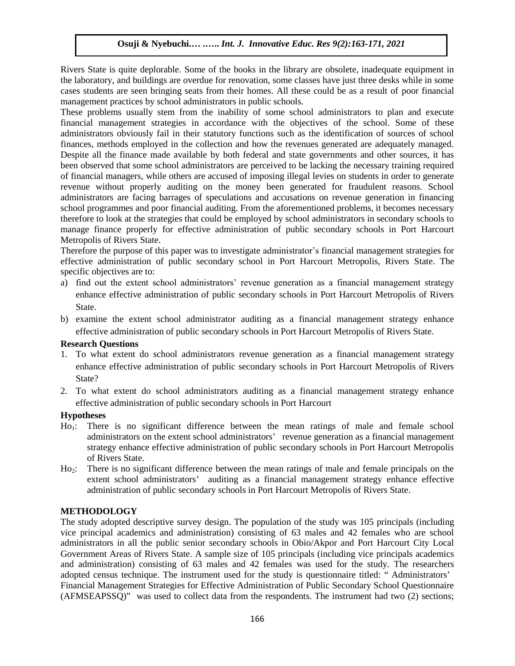Rivers State is quite deplorable. Some of the books in the library are obsolete, inadequate equipment in the laboratory, and buildings are overdue for renovation, some classes have just three desks while in some cases students are seen bringing seats from their homes. All these could be as a result of poor financial management practices by school administrators in public schools.

These problems usually stem from the inability of some school administrators to plan and execute financial management strategies in accordance with the objectives of the school. Some of these administrators obviously fail in their statutory functions such as the identification of sources of school finances, methods employed in the collection and how the revenues generated are adequately managed. Despite all the finance made available by both federal and state governments and other sources, it has been observed that some school administrators are perceived to be lacking the necessary training required of financial managers, while others are accused of imposing illegal levies on students in order to generate revenue without properly auditing on the money been generated for fraudulent reasons. School administrators are facing barrages of speculations and accusations on revenue generation in financing school programmes and poor financial auditing. From the aforementioned problems, it becomes necessary therefore to look at the strategies that could be employed by school administrators in secondary schools to manage finance properly for effective administration of public secondary schools in Port Harcourt Metropolis of Rivers State.

Therefore the purpose of this paper was to investigate administrator's financial management strategies for effective administration of public secondary school in Port Harcourt Metropolis, Rivers State. The specific objectives are to:

- a) find out the extent school administrators' revenue generation as a financial management strategy enhance effective administration of public secondary schools in Port Harcourt Metropolis of Rivers State.
- b) examine the extent school administrator auditing as a financial management strategy enhance effective administration of public secondary schools in Port Harcourt Metropolis of Rivers State.

#### **Research Questions**

- 1. To what extent do school administrators revenue generation as a financial management strategy enhance effective administration of public secondary schools in Port Harcourt Metropolis of Rivers State?
- 2. To what extent do school administrators auditing as a financial management strategy enhance effective administration of public secondary schools in Port Harcourt

#### **Hypotheses**

- Ho<sub>1</sub>: There is no significant difference between the mean ratings of male and female school administrators on the extent school administrators' revenue generation as a financial management strategy enhance effective administration of public secondary schools in Port Harcourt Metropolis of Rivers State.
- Ho<sub>2</sub>: There is no significant difference between the mean ratings of male and female principals on the extent school administrators' auditing as a financial management strategy enhance effective administration of public secondary schools in Port Harcourt Metropolis of Rivers State.

## **METHODOLOGY**

The study adopted descriptive survey design. The population of the study was 105 principals (including vice principal academics and administration) consisting of 63 males and 42 females who are school administrators in all the public senior secondary schools in Obio/Akpor and Port Harcourt City Local Government Areas of Rivers State. A sample size of 105 principals (including vice principals academics and administration) consisting of 63 males and 42 females was used for the study. The researchers adopted census technique. The instrument used for the study is questionnaire titled: " Administrators' Financial Management Strategies for Effective Administration of Public Secondary School Questionnaire (AFMSEAPSSQ)" was used to collect data from the respondents. The instrument had two (2) sections;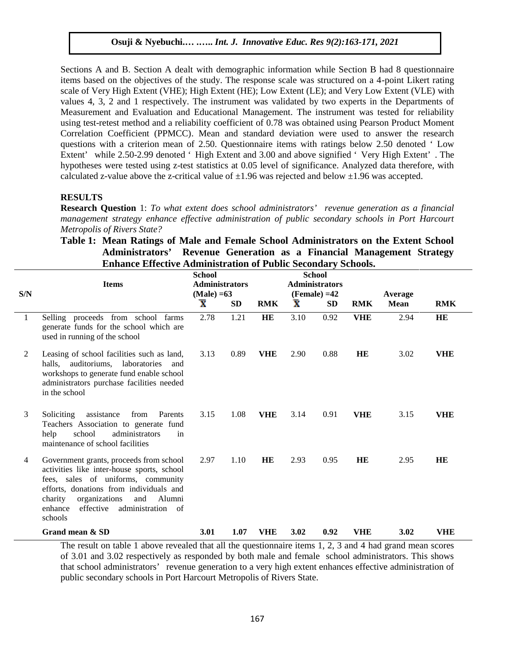Sections A and B. Section A dealt with demographic information while Section B had 8 questionnaire items based on the objectives of the study. The response scale was structured on a 4-point Likert rating scale of Very High Extent (VHE); High Extent (HE); Low Extent (LE); and Very Low Extent (VLE) with values 4, 3, 2 and 1 respectively. The instrument was validated by two experts in the Departments of Measurement and Evaluation and Educational Management. The instrument was tested for reliability using test-retest method and a reliability coefficient of 0.78 was obtained using Pearson Product Moment Correlation Coefficient (PPMCC). Mean and standard deviation were used to answer the research questions with a criterion mean of 2.50. Questionnaire items with ratings below 2.50 denoted ' Low Extent' while 2.50-2.99 denoted ' High Extent and 3.00 and above signified ' Very High Extent' . The hypotheses were tested using z-test statistics at 0.05 level of significance. Analyzed data therefore, with calculated z-value above the z-critical value of  $\pm 1.96$  was rejected and below  $\pm 1.96$  was accepted.

#### **RESULTS**

**Research Question** 1: *To what extent does school administrators' revenue generation as a financial management strategy enhance effective administration of public secondary schools in Port Harcourt Metropolis of Rivers State?*

|                | Emiance Effective Auministration of I donc Secondary Schools.                                                                                                                                                                                                               | <b>School</b>           |           |            |                       | <b>School</b> |            |             |            |  |
|----------------|-----------------------------------------------------------------------------------------------------------------------------------------------------------------------------------------------------------------------------------------------------------------------------|-------------------------|-----------|------------|-----------------------|---------------|------------|-------------|------------|--|
|                | <b>Items</b>                                                                                                                                                                                                                                                                | <b>Administrators</b>   |           |            | <b>Administrators</b> |               |            |             |            |  |
| S/N            |                                                                                                                                                                                                                                                                             | $(Male) = 63$           |           |            | $(Female) = 42$       |               |            | Average     |            |  |
|                |                                                                                                                                                                                                                                                                             | $\overline{\mathbf{x}}$ | <b>SD</b> | <b>RMK</b> | $\bar{\textbf{x}}$    | <b>SD</b>     | <b>RMK</b> | <b>Mean</b> | <b>RMK</b> |  |
| $\overline{1}$ | Selling proceeds from school farms<br>generate funds for the school which are<br>used in running of the school                                                                                                                                                              | 2.78                    | 1.21      | HE         | 3.10                  | 0.92          | <b>VHE</b> | 2.94        | <b>HE</b>  |  |
| 2              | Leasing of school facilities such as land,<br>halls, auditoriums, laboratories<br>and<br>workshops to generate fund enable school<br>administrators purchase facilities needed<br>in the school                                                                             | 3.13                    | 0.89      | <b>VHE</b> | 2.90                  | 0.88          | HE         | 3.02        | <b>VHE</b> |  |
| 3              | Soliciting<br>assistance<br>Parents<br>from<br>Teachers Association to generate fund<br>school<br>administrators<br>help<br>in<br>maintenance of school facilities                                                                                                          | 3.15                    | 1.08      | <b>VHE</b> | 3.14                  | 0.91          | <b>VHE</b> | 3.15        | <b>VHE</b> |  |
| 4              | Government grants, proceeds from school<br>activities like inter-house sports, school<br>fees, sales of uniforms, community<br>efforts, donations from individuals and<br>Alumni<br>organizations<br>and<br>charity<br>effective<br>enhance<br>administration of<br>schools | 2.97                    | 1.10      | HE         | 2.93                  | 0.95          | <b>HE</b>  | 2.95        | <b>HE</b>  |  |
|                | Grand mean & SD                                                                                                                                                                                                                                                             | <b>3.01</b>             | 1.07      | <b>VHE</b> | 3.02                  | 0.92          | <b>VHE</b> | 3.02        | <b>VHE</b> |  |

# **Table 1: Mean Ratings of Male and Female School Administrators on the Extent School Administrators' Revenue Generation as a Financial Management Strategy Enhance Effective Administration of Public Secondary Schools.**

The result on table 1 above revealed that all the questionnaire items 1, 2, 3 and 4 had grand mean scores of 3.01 and 3.02 respectively as responded by both male and female school administrators. This shows that school administrators' revenue generation to a very high extent enhances effective administration of public secondary schools in Port Harcourt Metropolis of Rivers State.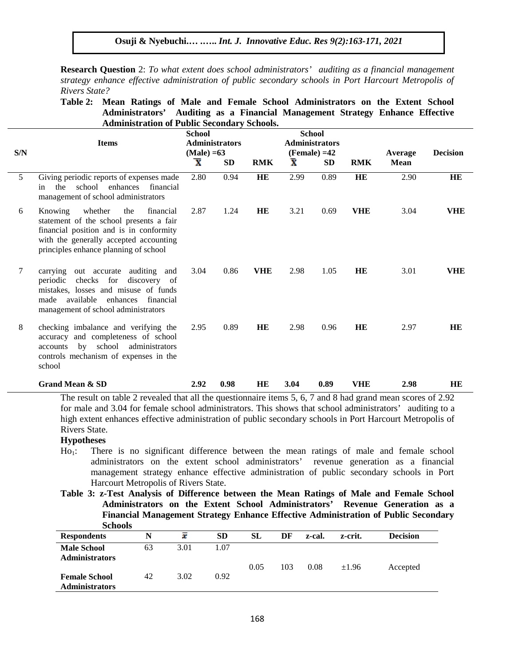**Research Question** 2: *To what extent does school administrators' auditing as a financial management strategy enhance effective administration of public secondary schools in Port Harcourt Metropolis of Rivers State?*

**Table 2: Mean Ratings of Male and Female School Administrators on the Extent School Administrators' Auditing as a Financial Management Strategy Enhance Effective Administration of Public Secondary Schools.**

| S/N | <b>Items</b>                                                                                                                                                                                                    | <b>School</b><br><b>Administrators</b><br>$(Male) = 63$ |      | <b>School</b><br><b>Administrators</b><br>$(Female) = 42$ |                         |           |            | Average     | <b>Decision</b> |
|-----|-----------------------------------------------------------------------------------------------------------------------------------------------------------------------------------------------------------------|---------------------------------------------------------|------|-----------------------------------------------------------|-------------------------|-----------|------------|-------------|-----------------|
|     |                                                                                                                                                                                                                 | $\overline{\mathbf{x}}$                                 | SD   | <b>RMK</b>                                                | $\overline{\textbf{x}}$ | <b>SD</b> | <b>RMK</b> | <b>Mean</b> |                 |
| 5   | Giving periodic reports of expenses made<br>school<br>enhances financial<br>the<br>in.<br>management of school administrators                                                                                   | 2.80                                                    | 0.94 | HE                                                        | 2.99                    | 0.89      | HE         | 2.90        | HE              |
| 6   | Knowing<br>whether<br>the<br>financial<br>statement of the school presents a fair<br>financial position and is in conformity<br>with the generally accepted accounting<br>principles enhance planning of school | 2.87                                                    | 1.24 | HE                                                        | 3.21                    | 0.69      | <b>VHE</b> | 3.04        | <b>VHE</b>      |
| 7   | carrying<br>out accurate auditing<br>and<br>checks for discovery of<br>periodic<br>mistakes, losses and misuse of funds<br>available<br>enhances<br>made<br>financial<br>management of school administrators    | 3.04                                                    | 0.86 | <b>VHE</b>                                                | 2.98                    | 1.05      | HE         | 3.01        | <b>VHE</b>      |
| 8   | checking imbalance and verifying the<br>accuracy and completeness of school<br>accounts by school administrators<br>controls mechanism of expenses in the<br>school                                             | 2.95                                                    | 0.89 | HE                                                        | 2.98                    | 0.96      | HE         | 2.97        | <b>HE</b>       |
|     | <b>Grand Mean &amp; SD</b>                                                                                                                                                                                      | 2.92                                                    | 0.98 | <b>HE</b>                                                 | 3.04                    | 0.89      | <b>VHE</b> | 2.98        | <b>HE</b>       |

The result on table 2 revealed that all the questionnaire items 5, 6, 7 and 8 had grand mean scores of 2.92 for male and 3.04 for female school administrators. This shows that school administrators' auditing to a high extent enhances effective administration of public secondary schools in Port Harcourt Metropolis of Rivers State.

### **Hypotheses**

- Ho<sub>1</sub>: There is no significant difference between the mean ratings of male and female school administrators on the extent school administrators' revenue generation as a financial management strategy enhance effective administration of public secondary schools in Port Harcourt Metropolis of Rivers State.
- **Table 3: z-Test Analysis of Difference between the Mean Ratings of Male and Female School Administrators on the Extent School Administrators' Revenue Generation as a Financial Management Strategy Enhance Effective Administration of Public Secondary Schools**

| <b>Respondents</b>                            | N  | x    | <b>SD</b> | SL   | DF  | z-cal. | z-crit. | <b>Decision</b> |
|-----------------------------------------------|----|------|-----------|------|-----|--------|---------|-----------------|
| <b>Male School</b>                            | 63 | 3.01 | 1.07      |      |     |        |         |                 |
| <b>Administrators</b>                         |    |      |           | 0.05 | 103 | 0.08   | ±1.96   | Accepted        |
| <b>Female School</b><br><b>Administrators</b> | 42 | 3.02 | 0.92      |      |     |        |         |                 |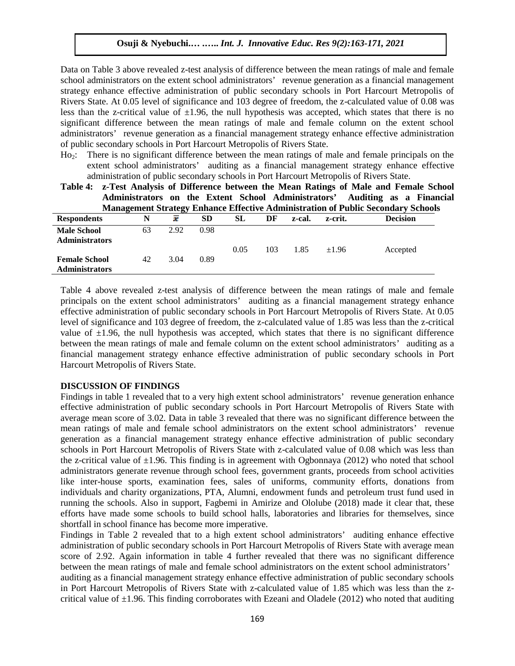Data on Table 3 above revealed z-test analysis of difference between the mean ratings of male and female school administrators on the extent school administrators' revenue generation as a financial management strategy enhance effective administration of public secondary schools in Port Harcourt Metropolis of Rivers State. At 0.05 level of significance and 103 degree of freedom, the z-calculated value of 0.08 was less than the z-critical value of  $\pm 1.96$ , the null hypothesis was accepted, which states that there is no significant difference between the mean ratings of male and female column on the extent school administrators' revenue generation as a financial management strategy enhance effective administration of public secondary schools in Port Harcourt Metropolis of Rivers State.

Ho<sub>2</sub>: There is no significant difference between the mean ratings of male and female principals on the extent school administrators' auditing as a financial management strategy enhance effective administration of public secondary schools in Port Harcourt Metropolis of Rivers State.

|                       |    |      |      |      |     |        |         | Table 4: z-Test Analysis of Difference between the Mean Ratings of Male and Female School |
|-----------------------|----|------|------|------|-----|--------|---------|-------------------------------------------------------------------------------------------|
|                       |    |      |      |      |     |        |         | Administrators on the Extent School Administrators' Auditing as a Financial               |
|                       |    |      |      |      |     |        |         | <b>Management Strategy Enhance Effective Administration of Public Secondary Schools</b>   |
| <b>Respondents</b>    | N  | x    | SD.  | SL.  | DF  | z-cal. | z-crit. | <b>Decision</b>                                                                           |
| <b>Male School</b>    | 63 | 2.92 | 0.98 |      |     |        |         |                                                                                           |
| <b>Administrators</b> |    |      |      |      |     |        |         |                                                                                           |
|                       |    |      |      | 0.05 | 103 | 1.85   | $+1.96$ | Accepted                                                                                  |
| <b>Female School</b>  | 42 | 3.04 | 0.89 |      |     |        |         |                                                                                           |
| <b>Administrators</b> |    |      |      |      |     |        |         |                                                                                           |

Table 4 above revealed z-test analysis of difference between the mean ratings of male and female principals on the extent school administrators' auditing as a financial management strategy enhance effective administration of public secondary schools in Port Harcourt Metropolis of Rivers State. At 0.05 level of significance and 103 degree of freedom, the z-calculated value of 1.85 was less than the z-critical value of  $\pm 1.96$ , the null hypothesis was accepted, which states that there is no significant difference between the mean ratings of male and female column on the extent school administrators' auditing as a financial management strategy enhance effective administration of public secondary schools in Port Harcourt Metropolis of Rivers State.

#### **DISCUSSION OF FINDINGS**

Findings in table 1 revealed that to a very high extent school administrators' revenue generation enhance effective administration of public secondary schools in Port Harcourt Metropolis of Rivers State with average mean score of 3.02. Data in table 3 revealed that there was no significant difference between the mean ratings of male and female school administrators on the extent school administrators' revenue generation as a financial management strategy enhance effective administration of public secondary schools in Port Harcourt Metropolis of Rivers State with z-calculated value of 0.08 which was less than the z-critical value of  $\pm 1.96$ . This finding is in agreement with Ogbonnaya (2012) who noted that school administrators generate revenue through school fees, government grants, proceeds from school activities like inter-house sports, examination fees, sales of uniforms, community efforts, donations from individuals and charity organizations, PTA, Alumni, endowment funds and petroleum trust fund used in running the schools. Also in support, Fagbemi in Amirize and Ololube (2018) made it clear that, these efforts have made some schools to build school halls, laboratories and libraries for themselves, since shortfall in school finance has become more imperative.

Findings in Table 2 revealed that to a high extent school administrators' auditing enhance effective administration of public secondary schools in Port Harcourt Metropolis of Rivers State with average mean score of 2.92. Again information in table 4 further revealed that there was no significant difference between the mean ratings of male and female school administrators on the extent school administrators' auditing as a financial management strategy enhance effective administration of public secondary schools in Port Harcourt Metropolis of Rivers State with z-calculated value of 1.85 which was less than the zcritical value of  $\pm 1.96$ . This finding corroborates with Ezeani and Oladele (2012) who noted that auditing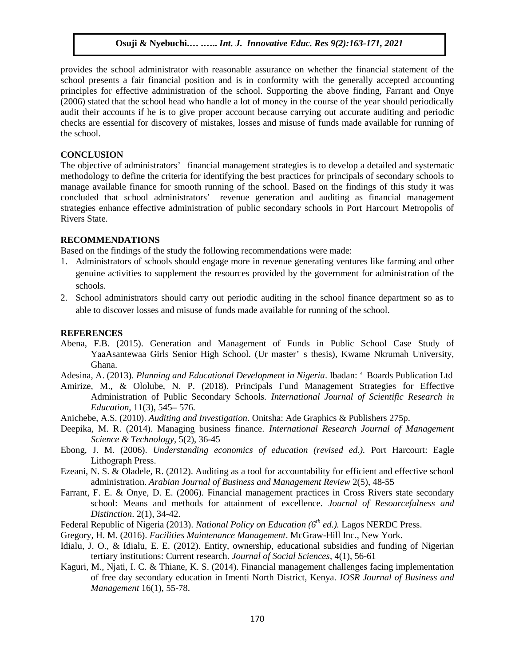provides the school administrator with reasonable assurance on whether the financial statement of the school presents a fair financial position and is in conformity with the generally accepted accounting principles for effective administration of the school. Supporting the above finding, Farrant and Onye (2006) stated that the school head who handle a lot of money in the course of the year should periodically audit their accounts if he is to give proper account because carrying out accurate auditing and periodic checks are essential for discovery of mistakes, losses and misuse of funds made available for running of the school.

## **CONCLUSION**

The objective of administrators' financial management strategies is to develop a detailed and systematic methodology to define the criteria for identifying the best practices for principals of secondary schools to manage available finance for smooth running of the school. Based on the findings of this study it was concluded that school administrators' revenue generation and auditing as financial management strategies enhance effective administration of public secondary schools in Port Harcourt Metropolis of Rivers State.

# **RECOMMENDATIONS**

Based on the findings of the study the following recommendations were made:

- 1. Administrators of schools should engage more in revenue generating ventures like farming and other genuine activities to supplement the resources provided by the government for administration of the schools.
- 2. School administrators should carry out periodic auditing in the school finance department so as to able to discover losses and misuse of funds made available for running of the school.

# **REFERENCES**

Abena, F.B. (2015). Generation and Management of Funds in Public School Case Study of YaaAsantewaa Girls Senior High School. (Ur master' s thesis), Kwame Nkrumah University, Ghana.

Adesina, A. (2013). *Planning and Educational Development in Nigeria*. Ibadan: ' Boards Publication Ltd

- Amirize, M., & Ololube, N. P. (2018). Principals Fund Management Strategies for Effective Administration of Public Secondary Schools. *International Journal of Scientific Research in Education,* 11(3), 545– 576.
- Anichebe, A.S. (2010). *Auditing and Investigation*. Onitsha: Ade Graphics & Publishers 275p.
- Deepika, M. R. (2014). Managing business finance. *International Research Journal of Management Science & Technology,* 5(2), 36-45
- Ebong, J. M. (2006). *Understanding economics of education (revised ed.).* Port Harcourt: Eagle Lithograph Press.
- Ezeani, N. S. & Oladele, R. (2012). Auditing as a tool for accountability for efficient and effective school administration. *Arabian Journal of Business and Management Review* 2(5), 48-55
- Farrant, F. E. & Onye, D. E. (2006). Financial management practices in Cross Rivers state secondary school: Means and methods for attainment of excellence. *Journal of Resourcefulness and Distinction*. 2(1), 34-42.
- Federal Republic of Nigeria (2013). *National Policy on Education (6th ed.).* Lagos NERDC Press.
- Gregory, H. M. (2016). *Facilities Maintenance Management*. McGraw-Hill Inc., New York.
- Idialu, J. O., & Idialu, E. E. (2012). Entity, ownership, educational subsidies and funding of Nigerian tertiary institutions: Current research. *Journal of Social Sciences*, 4(1), 56-61
- Kaguri, M., Njati, I. C. & Thiane, K. S. (2014). Financial management challenges facing implementation of free day secondary education in Imenti North District, Kenya. *IOSR Journal of Business and Management* 16(1), 55-78.